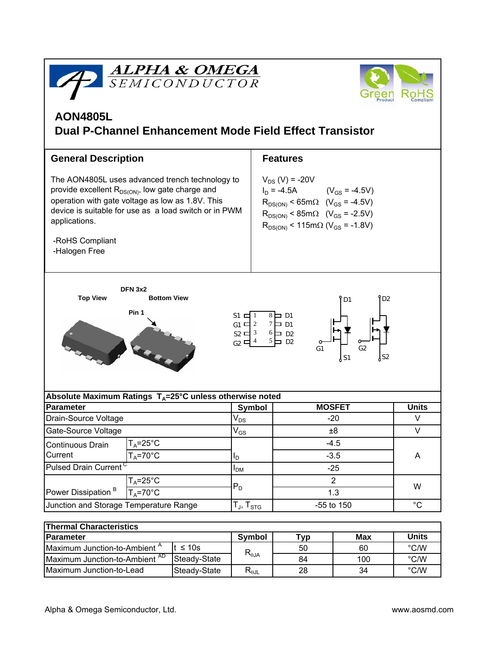



# **AON4805L Dual P-Channel Enhancement Mode Field Effect Transistor**

| <b>General Description</b>                                                                                                                                                                                                                                                |                     |                            | <b>Features</b>                                                                                                                                                                                                                     |              |  |                                                                                                                         |  |
|---------------------------------------------------------------------------------------------------------------------------------------------------------------------------------------------------------------------------------------------------------------------------|---------------------|----------------------------|-------------------------------------------------------------------------------------------------------------------------------------------------------------------------------------------------------------------------------------|--------------|--|-------------------------------------------------------------------------------------------------------------------------|--|
| The AON4805L uses advanced trench technology to<br>provide excellent $R_{DS(ON)}$ , low gate charge and<br>operation with gate voltage as low as 1.8V. This<br>device is suitable for use as a load switch or in PWM<br>applications.<br>-RoHS Compliant<br>-Halogen Free |                     |                            | $V_{DS}$ (V) = -20V<br>$I_D = -4.5A$ $(V_{GS} = -4.5V)$<br>$R_{DS(ON)}$ < 65m $\Omega$ (V <sub>GS</sub> = -4.5V)<br>$R_{DS(ON)}$ < 85m $\Omega$ (V <sub>GS</sub> = -2.5V)<br>$R_{DS(ON)}$ < 115m $\Omega$ (V <sub>GS</sub> = -1.8V) |              |  |                                                                                                                         |  |
| <b>DFN 3x2</b>                                                                                                                                                                                                                                                            |                     |                            |                                                                                                                                                                                                                                     |              |  |                                                                                                                         |  |
| <b>Top View</b><br><b>Bottom View</b><br>D <sub>2</sub><br>D <sub>1</sub><br>Pin 1<br>$S1 \nightharpoonup 1$<br>$8 \Box D1$                                                                                                                                               |                     |                            |                                                                                                                                                                                                                                     |              |  |                                                                                                                         |  |
|                                                                                                                                                                                                                                                                           |                     |                            |                                                                                                                                                                                                                                     |              |  | $7$ $\Box$ D1<br>$G1 \Box 2$<br>$s_2 = 3$<br>$6$ D <sub>2</sub><br>$5 \Box$ D <sub>2</sub><br>$G2$ 디 <sup>4</sup><br>G1 |  |
| Absolute Maximum Ratings T <sub>A</sub> =25°C unless otherwise noted                                                                                                                                                                                                      |                     |                            |                                                                                                                                                                                                                                     |              |  |                                                                                                                         |  |
| <b>Parameter</b>                                                                                                                                                                                                                                                          |                     | <b>Symbol</b>              | <b>MOSFET</b>                                                                                                                                                                                                                       | <b>Units</b> |  |                                                                                                                         |  |
| Drain-Source Voltage                                                                                                                                                                                                                                                      |                     | $V_{DS}$                   | $-20$                                                                                                                                                                                                                               | V            |  |                                                                                                                         |  |
| Gate-Source Voltage                                                                                                                                                                                                                                                       |                     | $\mathsf{V}_{\mathsf{GS}}$ | ±8                                                                                                                                                                                                                                  | V            |  |                                                                                                                         |  |
| Continuous Drain<br>Current                                                                                                                                                                                                                                               | $T_A = 25$ °C       |                            | $-4.5$                                                                                                                                                                                                                              | A            |  |                                                                                                                         |  |
|                                                                                                                                                                                                                                                                           | $T_A = 70$ °C<br>ı, |                            | $-3.5$                                                                                                                                                                                                                              |              |  |                                                                                                                         |  |
| Pulsed Drain Current <sup>C</sup>                                                                                                                                                                                                                                         |                     | $I_{DM}$                   | $-25$                                                                                                                                                                                                                               |              |  |                                                                                                                         |  |
| Power Dissipation <sup>B</sup>                                                                                                                                                                                                                                            | $T_A = 25$ °C       |                            | $\overline{2}$                                                                                                                                                                                                                      |              |  |                                                                                                                         |  |
|                                                                                                                                                                                                                                                                           | $T_A = 70$ °C       | $P_D$                      | 1.3                                                                                                                                                                                                                                 | W            |  |                                                                                                                         |  |
| Junction and Storage Temperature Range                                                                                                                                                                                                                                    |                     | $T_{J}$ , $T_{STG}$        | -55 to 150                                                                                                                                                                                                                          | $^{\circ}C$  |  |                                                                                                                         |  |
|                                                                                                                                                                                                                                                                           |                     |                            |                                                                                                                                                                                                                                     |              |  |                                                                                                                         |  |

| <b>Thermal Characteristics</b>            |              |                                  |     |              |               |  |  |  |  |
|-------------------------------------------|--------------|----------------------------------|-----|--------------|---------------|--|--|--|--|
| <b>Parameter</b>                          | Symbol       | тур                              | Max | <b>Units</b> |               |  |  |  |  |
| Maximum Junction-to-Ambient <sup>A</sup>  | t ≤ 10s      | $R_{\theta$ JA                   | 50  | 60           | °C/W          |  |  |  |  |
| Maximum Junction-to-Ambient <sup>AD</sup> | Steady-State |                                  | 84  | 100          | °C/W          |  |  |  |  |
| Maximum Junction-to-Lead                  | Steady-State | $\mathsf{R}_{\theta\mathsf{JL}}$ | 28  | 34           | $\degree$ C/W |  |  |  |  |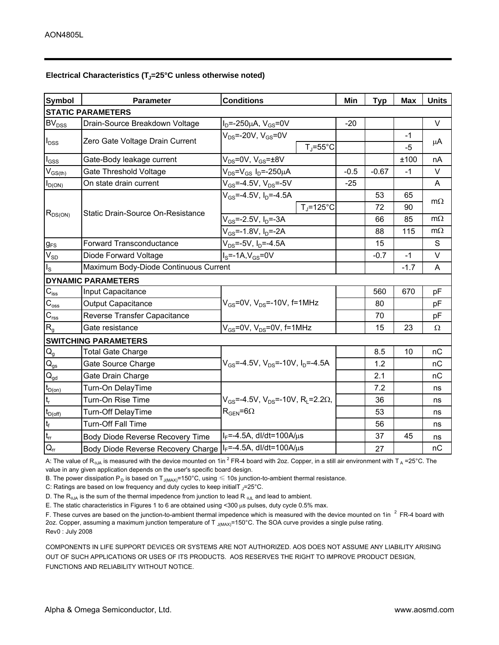### Electrical Characteristics (T<sub>J</sub>=25°C unless otherwise noted)

| <b>Symbol</b>                           | <b>Conditions</b><br><b>Parameter</b>                        |                                                                                               | Min                 | <b>Typ</b> | <b>Max</b> | <b>Units</b> |  |  |  |
|-----------------------------------------|--------------------------------------------------------------|-----------------------------------------------------------------------------------------------|---------------------|------------|------------|--------------|--|--|--|
| <b>STATIC PARAMETERS</b>                |                                                              |                                                                                               |                     |            |            |              |  |  |  |
| <b>BV<sub>DSS</sub></b>                 | Drain-Source Breakdown Voltage                               | $I_D = -250 \mu A$ , $V_{GS} = 0V$                                                            | $-20$               |            |            | $\vee$       |  |  |  |
| $I_{DSS}$                               | Zero Gate Voltage Drain Current                              | $V_{DS}$ =-20V, $V_{GS}$ =0V                                                                  |                     |            | $-1$       |              |  |  |  |
|                                         |                                                              |                                                                                               | $T_J = 55^{\circ}C$ |            | $-5$       | μA           |  |  |  |
| $I_{GSS}$                               | Gate-Body leakage current                                    | $V_{DS}$ =0V, V <sub>GS</sub> = $\pm$ 8V                                                      |                     |            | ±100       | nA           |  |  |  |
| $\mathsf{V}_{\mathsf{GS}(\mathsf{th})}$ | Gate Threshold Voltage                                       | V <sub>DS</sub> =V <sub>GS</sub> I <sub>D</sub> =-250µA                                       | $-0.5$              | $-0.67$    | $-1$       | V            |  |  |  |
| $I_{D(ON)}$                             | On state drain current                                       | $V_{GS} = -4.5V$ , $V_{DS} = -5V$                                                             | $-25$               |            |            | A            |  |  |  |
| $R_{DS(ON)}$                            | Static Drain-Source On-Resistance                            | $V_{GS}$ =-4.5V, I <sub>D</sub> =-4.5A                                                        |                     | 53         | 65         | $m\Omega$    |  |  |  |
|                                         |                                                              |                                                                                               | $T_i = 125$ °C      | 72         | 90         |              |  |  |  |
|                                         |                                                              | $V_{GS}$ =-2.5V, I <sub>D</sub> =-3A                                                          |                     | 66         | 85         | $m\Omega$    |  |  |  |
|                                         |                                                              | $V_{GS}$ =-1.8V, $I_D$ =-2A                                                                   |                     | 88         | 115        | $m\Omega$    |  |  |  |
| $g_{FS}$                                | Forward Transconductance                                     | $V_{DS}$ =-5V, I <sub>D</sub> =-4.5A                                                          |                     | 15         |            | S            |  |  |  |
| $V_{SD}$                                | Diode Forward Voltage                                        | $IS=-1A,VGS=0V$                                                                               |                     | $-0.7$     | $-1$       | V            |  |  |  |
| $I_{\rm S}$                             | Maximum Body-Diode Continuous Current                        |                                                                                               |                     |            | $-1.7$     | A            |  |  |  |
|                                         | <b>DYNAMIC PARAMETERS</b>                                    |                                                                                               |                     |            |            |              |  |  |  |
| $C_{\hbox{\scriptsize{iss}}}$           | Input Capacitance                                            | $V_{GS}$ =0V, $V_{DS}$ =-10V, f=1MHz                                                          |                     | 560        | 670        | pF           |  |  |  |
| $\overline{C_{\text{oss}}}$             | Output Capacitance                                           |                                                                                               |                     | 80         |            | pF           |  |  |  |
| $C_{\rm rss}$                           | Reverse Transfer Capacitance                                 |                                                                                               |                     | 70         |            | pF           |  |  |  |
| $R_{g}$                                 | Gate resistance                                              | $V_{GS}$ =0V, $V_{DS}$ =0V, f=1MHz                                                            |                     | 15         | 23         | $\Omega$     |  |  |  |
|                                         | <b>SWITCHING PARAMETERS</b>                                  |                                                                                               |                     |            |            |              |  |  |  |
| $\mathsf{Q}_{\mathsf{g}}$               | <b>Total Gate Charge</b>                                     | $V_{GS}$ =-4.5V, $V_{DS}$ =-10V, $I_{D}$ =-4.5A                                               |                     | 8.5        | 10         | nC           |  |  |  |
| $\mathsf{Q}_{\mathsf{gs}}$              | Gate Source Charge                                           |                                                                                               |                     | 1.2        |            | nC           |  |  |  |
| $\mathbf{Q}_{\text{gd}}$                | Gate Drain Charge                                            |                                                                                               |                     | 2.1        |            | nC           |  |  |  |
| $t_{D(on)}$                             | Turn-On DelayTime                                            |                                                                                               |                     | 7.2        |            | ns           |  |  |  |
| $t_{r}$                                 | Turn-On Rise Time                                            | $V_{GS}$ =-4.5V, $V_{DS}$ =-10V, R <sub>i</sub> =2.2 $\Omega$ ,<br>$R_{\text{GEN}} = 6\Omega$ |                     | 36         |            | ns           |  |  |  |
| $t_{D(off)}$                            | Turn-Off DelayTime                                           |                                                                                               |                     | 53         |            | ns           |  |  |  |
| $t_f$                                   | Turn-Off Fall Time                                           |                                                                                               |                     | 56         |            | ns           |  |  |  |
| $t_{rr}$                                | Body Diode Reverse Recovery Time                             | $I_F = -4.5A$ , dl/dt=100A/ $\mu$ s                                                           |                     | 37         | 45         | ns           |  |  |  |
| $Q_{rr}$                                | Body Diode Reverse Recovery Charge   IF=-4.5A, dl/dt=100A/us |                                                                                               |                     | 27         |            | nC           |  |  |  |

A: The value of R<sub>θJA</sub> is measured with the device mounted on 1in <sup>2</sup> FR-4 board with 2oz. Copper, in a still air environment with T <sub>A</sub> =25°C. The value in any given application depends on the user's specific board design.

B. The power dissipation P<sub>D</sub> is based on T<sub>J(MAX)</sub>=150°C, using  $\leq 10$ s junction-to-ambient thermal resistance.

C: Ratings are based on low frequency and duty cycles to keep initialT <sub>J</sub>=25°C.

D. The  $R_{\theta_0 A}$  is the sum of the thermal impedence from junction to lead R  $_{\theta_0 L}$  and lead to ambient.

E. The static characteristics in Figures 1 to 6 are obtained using <300 µs pulses, duty cycle 0.5% max.

∟. The static characteristics in Figures 1 to 6 are obtained using <300 µs puises, duty cycle 0.5% max.<br>F. These curves are based on the junction-to-ambient thermal impedence which is measured with the device mounted on 1 2oz. Copper, assuming a maximum junction temperature of T<sub>J(MAX)</sub>=150°C. The SOA curve provides a single pulse rating. Rev0 : July 2008

COMPONENTS IN LIFE SUPPORT DEVICES OR SYSTEMS ARE NOT AUTHORIZED. AOS DOES NOT ASSUME ANY LIABILITY ARISING OUT OF SUCH APPLICATIONS OR USES OF ITS PRODUCTS. AOS RESERVES THE RIGHT TO IMPROVE PRODUCT DESIGN, FUNCTIONS AND RELIABILITY WITHOUT NOTICE.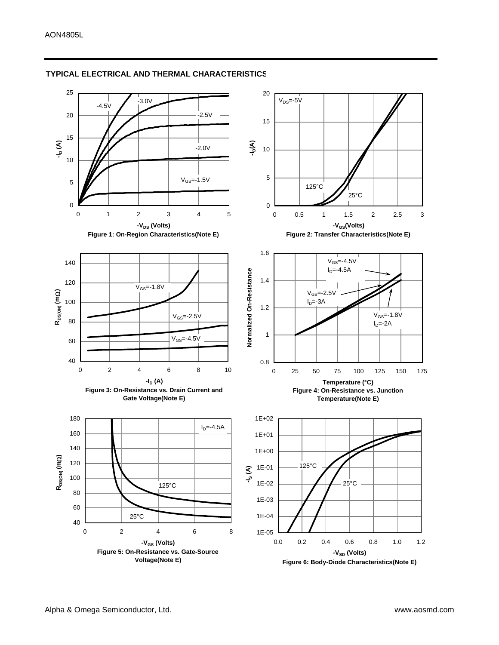

#### **TYPICAL ELECTRICAL AND THERMAL CHARACTERISTICS**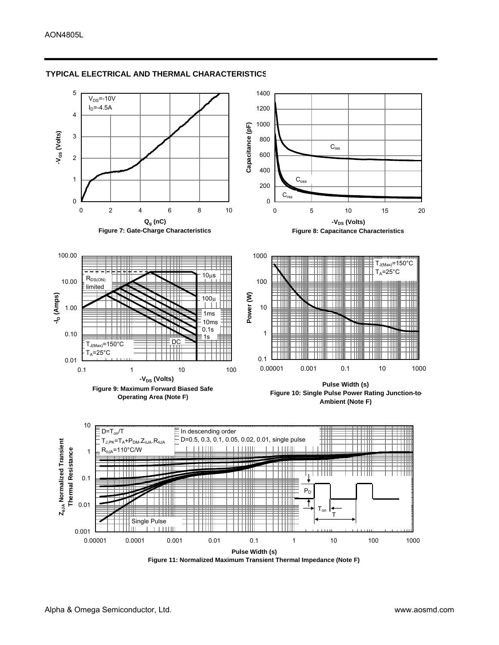

#### **TYPICAL ELECTRICAL AND THERMAL CHARACTERISTICS**

**Figure 11: Normalized Maximum Transient Thermal Impedance (Note F)**